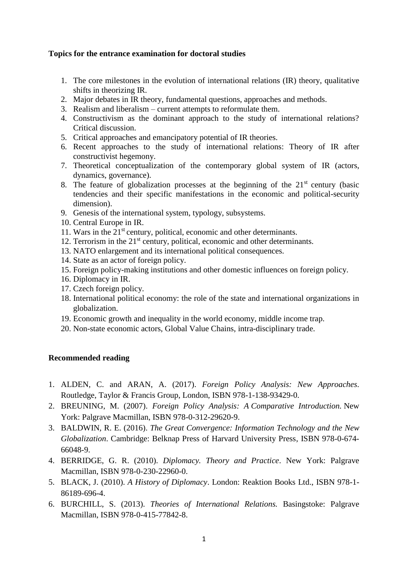## **Topics for the entrance examination for doctoral studies**

- 1. The core milestones in the evolution of international relations (IR) theory, qualitative shifts in theorizing IR.
- 2. Major debates in IR theory, fundamental questions, approaches and methods.
- 3. Realism and liberalism current attempts to reformulate them.
- 4. Constructivism as the dominant approach to the study of international relations? Critical discussion.
- 5. Critical approaches and emancipatory potential of IR theories.
- 6. Recent approaches to the study of international relations: Theory of IR after constructivist hegemony.
- 7. Theoretical conceptualization of the contemporary global system of IR (actors, dynamics, governance).
- 8. The feature of globalization processes at the beginning of the  $21<sup>st</sup>$  century (basic tendencies and their specific manifestations in the economic and political-security dimension).
- 9. Genesis of the international system, typology, subsystems.
- 10. Central Europe in IR.
- 11. Wars in the 21st century, political, economic and other determinants.
- 12. Terrorism in the  $21<sup>st</sup>$  century, political, economic and other determinants.
- 13. NATO enlargement and its international political consequences.
- 14. State as an actor of foreign policy.
- 15. Foreign policy-making institutions and other domestic influences on foreign policy.
- 16. Diplomacy in IR.
- 17. Czech foreign policy.
- 18. International political economy: the role of the state and international organizations in globalization.
- 19. Economic growth and inequality in the world economy, middle income trap.
- 20. Non-state economic actors, Global Value Chains, intra-disciplinary trade.

## **Recommended reading**

- 1. ALDEN, C. and ARAN, A. (2017). *Foreign Policy Analysis: New Approaches*. Routledge, Taylor & Francis Group, London, ISBN 978-1-138-93429-0.
- 2. BREUNING, M. (2007). *Foreign Policy Analysis: A Comparative Introduction.* New York: Palgrave Macmillan, ISBN 978-0-312-29620-9.
- 3. BALDWIN, R. E. (2016). *The Great Convergence: Information Technology and the New Globalization*. Cambridge: Belknap Press of Harvard University Press, ISBN 978-0-674- 66048-9.
- 4. BERRIDGE, G. R. (2010). *Diplomacy. Theory and Practice*. New York: Palgrave Macmillan, ISBN 978-0-230-22960-0.
- 5. BLACK, J. (2010). *A History of Diplomacy*. London: Reaktion Books Ltd., ISBN 978-1- 86189-696-4.
- 6. BURCHILL, S. (2013). *Theories of International Relations.* Basingstoke: Palgrave Macmillan, ISBN 978-0-415-77842-8.